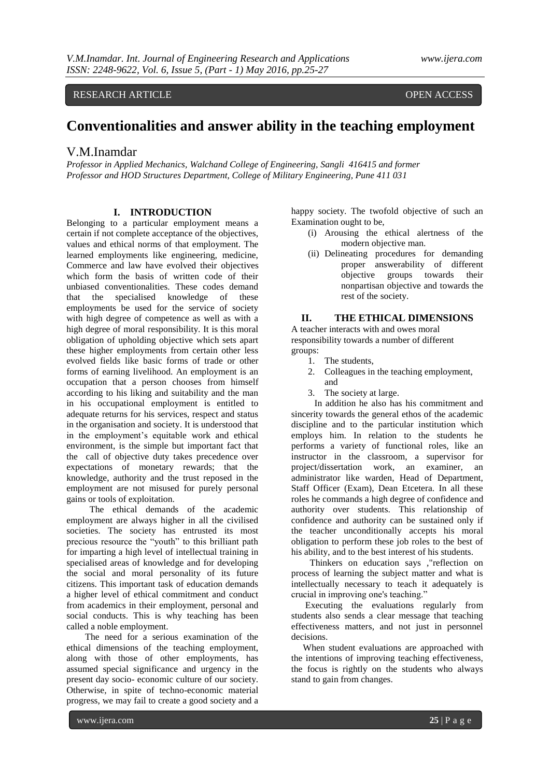RESEARCH ARTICLE OPEN ACCESS

# **Conventionalities and answer ability in the teaching employment**

# V.M.Inamdar

*Professor in Applied Mechanics, Walchand College of Engineering, Sangli 416415 and former Professor and HOD Structures Department, College of Military Engineering, Pune 411 031*

## **I. INTRODUCTION**

Belonging to a particular employment means a certain if not complete acceptance of the objectives, values and ethical norms of that employment. The learned employments like engineering, medicine, Commerce and law have evolved their objectives which form the basis of written code of their unbiased conventionalities. These codes demand that the specialised knowledge of these employments be used for the service of society with high degree of competence as well as with a high degree of moral responsibility. It is this moral obligation of upholding objective which sets apart these higher employments from certain other less evolved fields like basic forms of trade or other forms of earning livelihood. An employment is an occupation that a person chooses from himself according to his liking and suitability and the man in his occupational employment is entitled to adequate returns for his services, respect and status in the organisation and society. It is understood that in the employment's equitable work and ethical environment, is the simple but important fact that the call of objective duty takes precedence over expectations of monetary rewards; that the knowledge, authority and the trust reposed in the employment are not misused for purely personal gains or tools of exploitation.

 The ethical demands of the academic employment are always higher in all the civilised societies. The society has entrusted its most precious resource the "youth" to this brilliant path for imparting a high level of intellectual training in specialised areas of knowledge and for developing the social and moral personality of its future citizens. This important task of education demands a higher level of ethical commitment and conduct from academics in their employment, personal and social conducts. This is why teaching has been called a noble employment.

 The need for a serious examination of the ethical dimensions of the teaching employment, along with those of other employments, has assumed special significance and urgency in the present day socio- economic culture of our society. Otherwise, in spite of techno-economic material progress, we may fail to create a good society and a

happy society. The twofold objective of such an Examination ought to be,

- (i) Arousing the ethical alertness of the modern objective man.
- (ii) Delineating procedures for demanding proper answerability of different objective groups towards their nonpartisan objective and towards the rest of the society.

# **II. THE ETHICAL DIMENSIONS**

A teacher interacts with and owes moral responsibility towards a number of different groups:

- 1. The students,
- 2. Colleagues in the teaching employment, and
- 3. The society at large.

 In addition he also has his commitment and sincerity towards the general ethos of the academic discipline and to the particular institution which employs him. In relation to the students he performs a variety of functional roles, like an instructor in the classroom, a supervisor for project/dissertation work, an examiner, an administrator like warden, Head of Department, Staff Officer (Exam), Dean Etcetera. In all these roles he commands a high degree of confidence and authority over students. This relationship of confidence and authority can be sustained only if the teacher unconditionally accepts his moral obligation to perform these job roles to the best of his ability, and to the best interest of his students.

 Thinkers on education says ,"reflection on process of learning the subject matter and what is intellectually necessary to teach it adequately is crucial in improving one's teaching."

 Executing the evaluations regularly from students also sends a clear message that teaching effectiveness matters, and not just in personnel decisions.

 When student evaluations are approached with the intentions of improving teaching effectiveness, the focus is rightly on the students who always stand to gain from changes.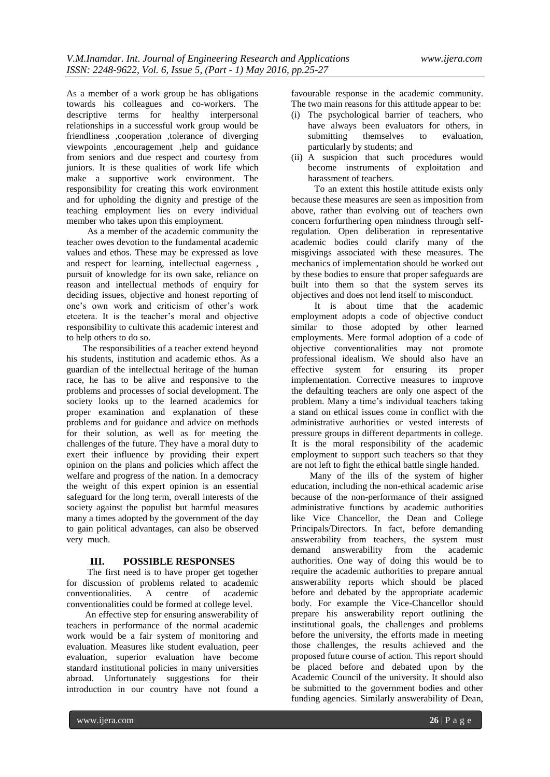As a member of a work group he has obligations towards his colleagues and co-workers. The descriptive terms for healthy interpersonal relationships in a successful work group would be friendliness ,cooperation ,tolerance of diverging viewpoints ,encouragement ,help and guidance from seniors and due respect and courtesy from juniors. It is these qualities of work life which make a supportive work environment. The responsibility for creating this work environment and for upholding the dignity and prestige of the teaching employment lies on every individual member who takes upon this employment.

 As a member of the academic community the teacher owes devotion to the fundamental academic values and ethos. These may be expressed as love and respect for learning, intellectual eagerness , pursuit of knowledge for its own sake, reliance on reason and intellectual methods of enquiry for deciding issues, objective and honest reporting of one's own work and criticism of other's work etcetera. It is the teacher's moral and objective responsibility to cultivate this academic interest and to help others to do so.

 The responsibilities of a teacher extend beyond his students, institution and academic ethos. As a guardian of the intellectual heritage of the human race, he has to be alive and responsive to the problems and processes of social development. The society looks up to the learned academics for proper examination and explanation of these problems and for guidance and advice on methods for their solution, as well as for meeting the challenges of the future. They have a moral duty to exert their influence by providing their expert opinion on the plans and policies which affect the welfare and progress of the nation. In a democracy the weight of this expert opinion is an essential safeguard for the long term, overall interests of the society against the populist but harmful measures many a times adopted by the government of the day to gain political advantages, can also be observed very much.

## **III. POSSIBLE RESPONSES**

 The first need is to have proper get together for discussion of problems related to academic conventionalities. A centre of academic conventionalities could be formed at college level.

 An effective step for ensuring answerability of teachers in performance of the normal academic work would be a fair system of monitoring and evaluation. Measures like student evaluation, peer evaluation, superior evaluation have become standard institutional policies in many universities abroad. Unfortunately suggestions for their introduction in our country have not found a

favourable response in the academic community. The two main reasons for this attitude appear to be:

- (i) The psychological barrier of teachers, who have always been evaluators for others, in submitting themselves to evaluation, particularly by students; and
- (ii) A suspicion that such procedures would become instruments of exploitation and harassment of teachers.

 To an extent this hostile attitude exists only because these measures are seen as imposition from above, rather than evolving out of teachers own concern forfurthering open mindness through selfregulation. Open deliberation in representative academic bodies could clarify many of the misgivings associated with these measures. The mechanics of implementation should be worked out by these bodies to ensure that proper safeguards are built into them so that the system serves its objectives and does not lend itself to misconduct.

 It is about time that the academic employment adopts a code of objective conduct similar to those adopted by other learned employments. Mere formal adoption of a code of objective conventionalities may not promote professional idealism. We should also have an effective system for ensuring its proper implementation. Corrective measures to improve the defaulting teachers are only one aspect of the problem. Many a time's individual teachers taking a stand on ethical issues come in conflict with the administrative authorities or vested interests of pressure groups in different departments in college. It is the moral responsibility of the academic employment to support such teachers so that they are not left to fight the ethical battle single handed.

 Many of the ills of the system of higher education, including the non-ethical academic arise because of the non-performance of their assigned administrative functions by academic authorities like Vice Chancellor, the Dean and College Principals/Directors. In fact, before demanding answerability from teachers, the system must demand answerability from the academic authorities. One way of doing this would be to require the academic authorities to prepare annual answerability reports which should be placed before and debated by the appropriate academic body. For example the Vice-Chancellor should prepare his answerability report outlining the institutional goals, the challenges and problems before the university, the efforts made in meeting those challenges, the results achieved and the proposed future course of action. This report should be placed before and debated upon by the Academic Council of the university. It should also be submitted to the government bodies and other funding agencies. Similarly answerability of Dean,